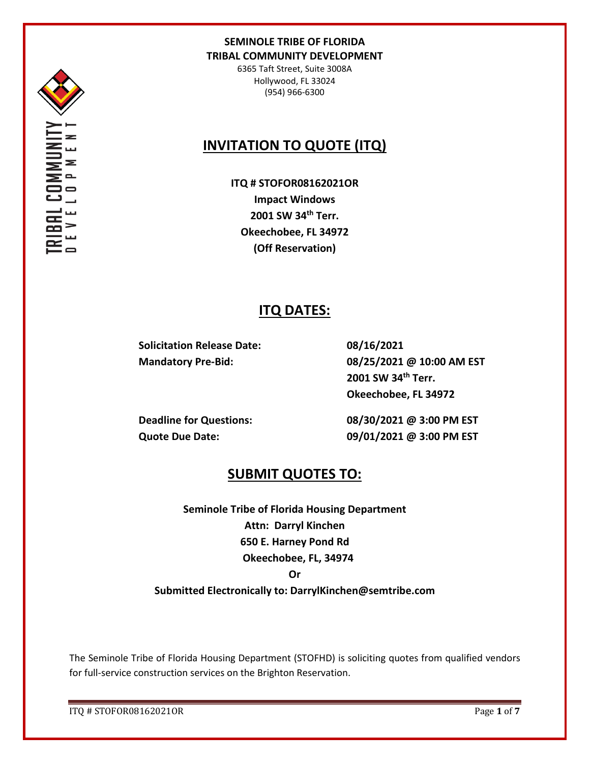

6365 Taft Street, Suite 3008A Hollywood, FL 33024 (954) 966-6300

# **INVITATION TO QUOTE (ITQ)**

**ITQ # STOFOR08162021OR Impact Windows 2001 SW 34th Terr. Okeechobee, FL 34972 (Off Reservation)**

# **ITQ DATES:**

**Solicitation Release Date: 08/16/2021**

**Mandatory Pre-Bid: 08/25/2021 @ 10:00 AM EST 2001 SW 34th Terr. Okeechobee, FL 34972**

**Deadline for Questions: 08/30/2021 @ 3:00 PM EST Quote Due Date: 09/01/2021 @ 3:00 PM EST**

# **SUBMIT QUOTES TO:**

**Seminole Tribe of Florida Housing Department Attn: Darryl Kinchen 650 E. Harney Pond Rd Okeechobee, FL, 34974 Or** 

**Submitted Electronically to: DarrylKinchen@semtribe.com** 

The Seminole Tribe of Florida Housing Department (STOFHD) is soliciting quotes from qualified vendors for full-service construction services on the Brighton Reservation.

ITQ # STOFOR08162021OR Page **1** of **7**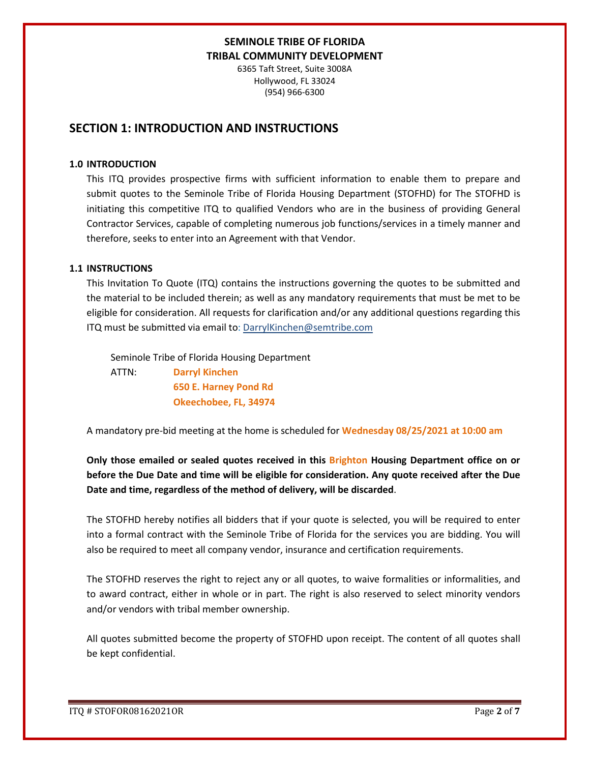6365 Taft Street, Suite 3008A Hollywood, FL 33024 (954) 966-6300

## **SECTION 1: INTRODUCTION AND INSTRUCTIONS**

#### **1.0 INTRODUCTION**

This ITQ provides prospective firms with sufficient information to enable them to prepare and submit quotes to the Seminole Tribe of Florida Housing Department (STOFHD) for The STOFHD is initiating this competitive ITQ to qualified Vendors who are in the business of providing General Contractor Services, capable of completing numerous job functions/services in a timely manner and therefore, seeks to enter into an Agreement with that Vendor.

#### **1.1 INSTRUCTIONS**

This Invitation To Quote (ITQ) contains the instructions governing the quotes to be submitted and the material to be included therein; as well as any mandatory requirements that must be met to be eligible for consideration. All requests for clarification and/or any additional questions regarding this ITQ must be submitted via email to: DarrylKinchen@semtribe.com

 Seminole Tribe of Florida Housing Department ATTN: **Darryl Kinchen**

 **650 E. Harney Pond Rd Okeechobee, FL, 34974**

A mandatory pre-bid meeting at the home is scheduled for **Wednesday 08/25/2021 at 10:00 am**

**Only those emailed or sealed quotes received in this Brighton Housing Department office on or before the Due Date and time will be eligible for consideration. Any quote received after the Due Date and time, regardless of the method of delivery, will be discarded**.

The STOFHD hereby notifies all bidders that if your quote is selected, you will be required to enter into a formal contract with the Seminole Tribe of Florida for the services you are bidding. You will also be required to meet all company vendor, insurance and certification requirements.

The STOFHD reserves the right to reject any or all quotes, to waive formalities or informalities, and to award contract, either in whole or in part. The right is also reserved to select minority vendors and/or vendors with tribal member ownership.

All quotes submitted become the property of STOFHD upon receipt. The content of all quotes shall be kept confidential.

ITQ # STOFOR08162021OR Page **2** of **7**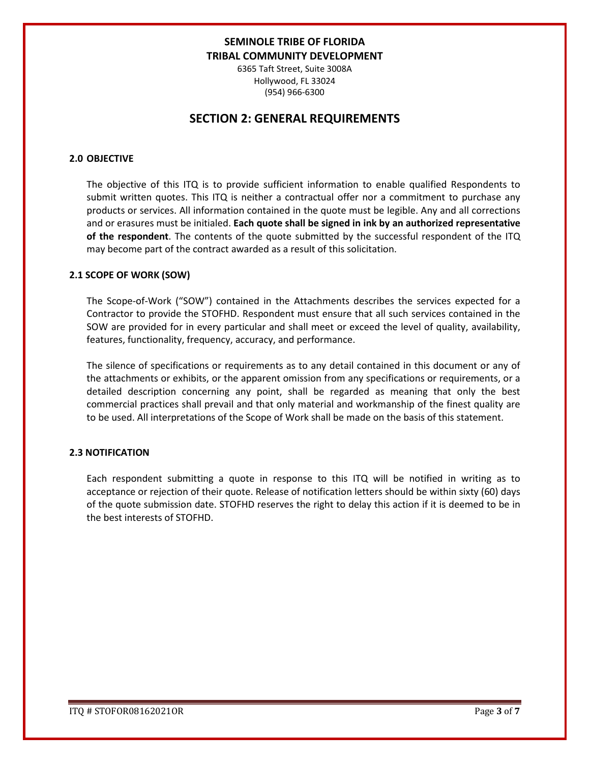6365 Taft Street, Suite 3008A Hollywood, FL 33024 (954) 966-6300

## **SECTION 2: GENERAL REQUIREMENTS**

### **2.0 OBJECTIVE**

The objective of this ITQ is to provide sufficient information to enable qualified Respondents to submit written quotes. This ITQ is neither a contractual offer nor a commitment to purchase any products or services. All information contained in the quote must be legible. Any and all corrections and or erasures must be initialed. **Each quote shall be signed in ink by an authorized representative of the respondent**. The contents of the quote submitted by the successful respondent of the ITQ may become part of the contract awarded as a result of this solicitation.

#### **2.1 SCOPE OF WORK (SOW)**

The Scope-of-Work ("SOW") contained in the Attachments describes the services expected for a Contractor to provide the STOFHD. Respondent must ensure that all such services contained in the SOW are provided for in every particular and shall meet or exceed the level of quality, availability, features, functionality, frequency, accuracy, and performance.

The silence of specifications or requirements as to any detail contained in this document or any of the attachments or exhibits, or the apparent omission from any specifications or requirements, or a detailed description concerning any point, shall be regarded as meaning that only the best commercial practices shall prevail and that only material and workmanship of the finest quality are to be used. All interpretations of the Scope of Work shall be made on the basis of this statement.

#### **2.3 NOTIFICATION**

Each respondent submitting a quote in response to this ITQ will be notified in writing as to acceptance or rejection of their quote. Release of notification letters should be within sixty (60) days of the quote submission date. STOFHD reserves the right to delay this action if it is deemed to be in the best interests of STOFHD.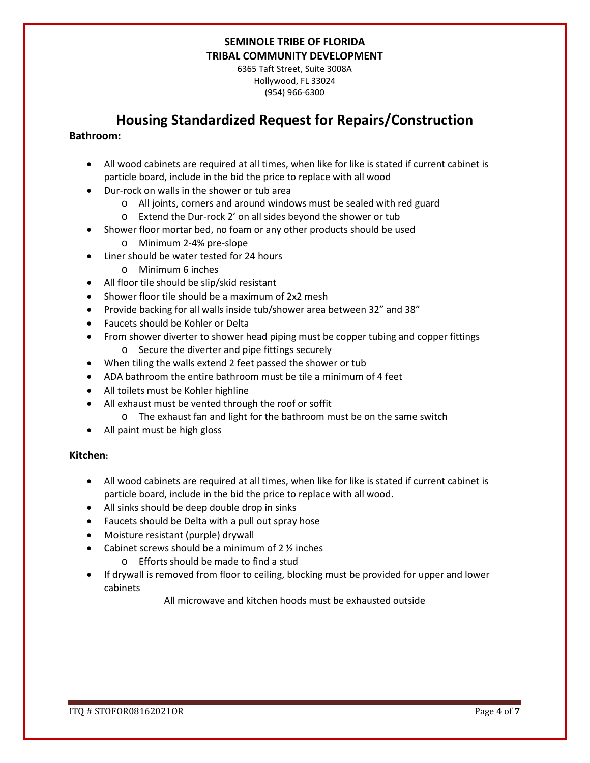6365 Taft Street, Suite 3008A Hollywood, FL 33024 (954) 966-6300

# **Housing Standardized Request for Repairs/Construction**

### **Bathroom:**

- All wood cabinets are required at all times, when like for like is stated if current cabinet is particle board, include in the bid the price to replace with all wood
- Dur-rock on walls in the shower or tub area
	- o All joints, corners and around windows must be sealed with red guard
	- o Extend the Dur-rock 2' on all sides beyond the shower or tub
- Shower floor mortar bed, no foam or any other products should be used
	- o Minimum 2-4% pre-slope
- Liner should be water tested for 24 hours
	- o Minimum 6 inches
- All floor tile should be slip/skid resistant
- Shower floor tile should be a maximum of 2x2 mesh
- Provide backing for all walls inside tub/shower area between 32" and 38"
- Faucets should be Kohler or Delta
- From shower diverter to shower head piping must be copper tubing and copper fittings o Secure the diverter and pipe fittings securely
- When tiling the walls extend 2 feet passed the shower or tub
- ADA bathroom the entire bathroom must be tile a minimum of 4 feet
- All toilets must be Kohler highline
- All exhaust must be vented through the roof or soffit
	- o The exhaust fan and light for the bathroom must be on the same switch
- All paint must be high gloss

### **Kitchen:**

- All wood cabinets are required at all times, when like for like is stated if current cabinet is particle board, include in the bid the price to replace with all wood.
- All sinks should be deep double drop in sinks
- Faucets should be Delta with a pull out spray hose
- Moisture resistant (purple) drywall
- Cabinet screws should be a minimum of  $2 \frac{1}{2}$  inches
	- o Efforts should be made to find a stud
- If drywall is removed from floor to ceiling, blocking must be provided for upper and lower cabinets

All microwave and kitchen hoods must be exhausted outside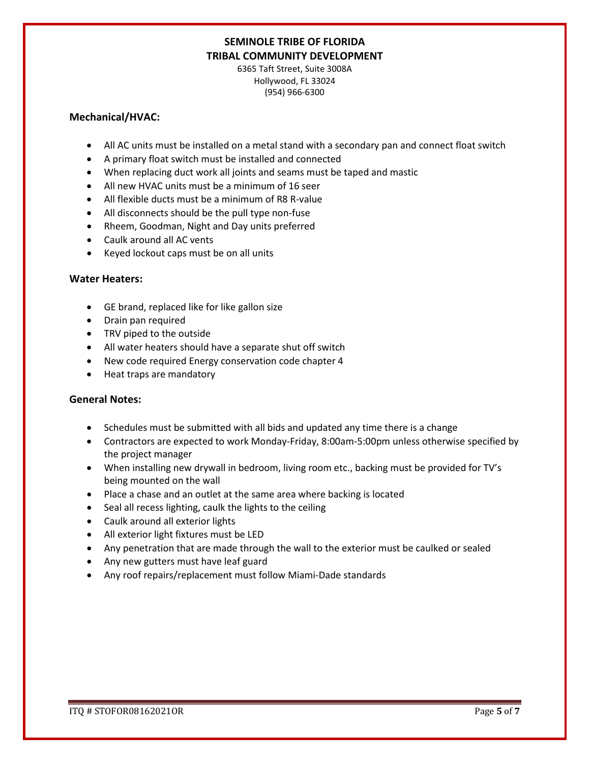6365 Taft Street, Suite 3008A Hollywood, FL 33024 (954) 966-6300

### **Mechanical/HVAC:**

- All AC units must be installed on a metal stand with a secondary pan and connect float switch
- A primary float switch must be installed and connected
- When replacing duct work all joints and seams must be taped and mastic
- All new HVAC units must be a minimum of 16 seer
- All flexible ducts must be a minimum of R8 R-value
- All disconnects should be the pull type non-fuse
- Rheem, Goodman, Night and Day units preferred
- Caulk around all AC vents
- Keyed lockout caps must be on all units

### **Water Heaters:**

- GE brand, replaced like for like gallon size
- Drain pan required
- TRV piped to the outside
- All water heaters should have a separate shut off switch
- New code required Energy conservation code chapter 4
- Heat traps are mandatory

### **General Notes:**

- Schedules must be submitted with all bids and updated any time there is a change
- Contractors are expected to work Monday-Friday, 8:00am-5:00pm unless otherwise specified by the project manager
- When installing new drywall in bedroom, living room etc., backing must be provided for TV's being mounted on the wall
- Place a chase and an outlet at the same area where backing is located
- Seal all recess lighting, caulk the lights to the ceiling
- Caulk around all exterior lights
- All exterior light fixtures must be LED
- Any penetration that are made through the wall to the exterior must be caulked or sealed
- Any new gutters must have leaf guard
- Any roof repairs/replacement must follow Miami-Dade standards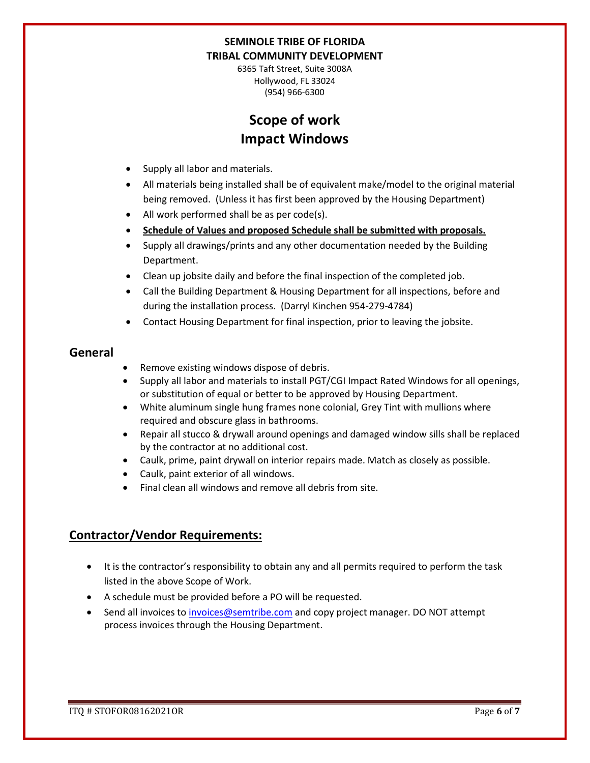6365 Taft Street, Suite 3008A Hollywood, FL 33024 (954) 966-6300

# **Scope of work Impact Windows**

- Supply all labor and materials.
- All materials being installed shall be of equivalent make/model to the original material being removed. (Unless it has first been approved by the Housing Department)
- All work performed shall be as per code(s).
- **Schedule of Values and proposed Schedule shall be submitted with proposals.**
- Supply all drawings/prints and any other documentation needed by the Building Department.
- Clean up jobsite daily and before the final inspection of the completed job.
- Call the Building Department & Housing Department for all inspections, before and during the installation process. (Darryl Kinchen 954-279-4784)
- Contact Housing Department for final inspection, prior to leaving the jobsite.

## **General**

- Remove existing windows dispose of debris.
- Supply all labor and materials to install PGT/CGI Impact Rated Windows for all openings, or substitution of equal or better to be approved by Housing Department.
- White aluminum single hung frames none colonial, Grey Tint with mullions where required and obscure glass in bathrooms.
- Repair all stucco & drywall around openings and damaged window sills shall be replaced by the contractor at no additional cost.
- Caulk, prime, paint drywall on interior repairs made. Match as closely as possible.
- Caulk, paint exterior of all windows.
- Final clean all windows and remove all debris from site.

## **Contractor/Vendor Requirements:**

- It is the contractor's responsibility to obtain any and all permits required to perform the task listed in the above Scope of Work.
- A schedule must be provided before a PO will be requested.
- Send all invoices to [invoices@semtribe.com](mailto:invoices@semtribe.com) and copy project manager. DO NOT attempt process invoices through the Housing Department.